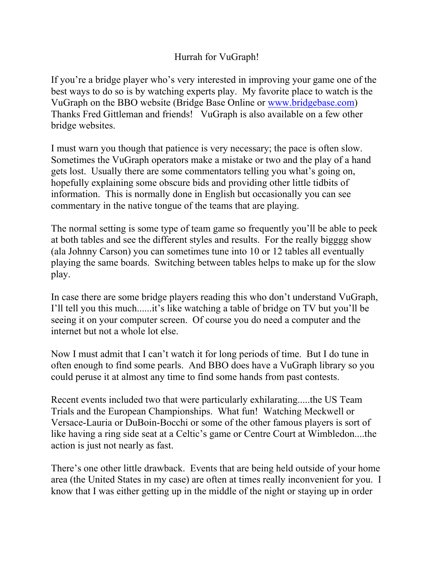## Hurrah for VuGraph!

If you're a bridge player who's very interested in improving your game one of the best ways to do so is by watching experts play. My favorite place to watch is the VuGraph on the BBO website (Bridge Base Online or [www.bridgebase.com](http://www.bridgebase.com/)) Thanks Fred Gittleman and friends! VuGraph is also available on a few other bridge websites.

I must warn you though that patience is very necessary; the pace is often slow. Sometimes the VuGraph operators make a mistake or two and the play of a hand gets lost. Usually there are some commentators telling you what's going on, hopefully explaining some obscure bids and providing other little tidbits of information. This is normally done in English but occasionally you can see commentary in the native tongue of the teams that are playing.

The normal setting is some type of team game so frequently you'll be able to peek at both tables and see the different styles and results. For the really bigggg show (ala Johnny Carson) you can sometimes tune into 10 or 12 tables all eventually playing the same boards. Switching between tables helps to make up for the slow play.

In case there are some bridge players reading this who don't understand VuGraph, I'll tell you this much......it's like watching a table of bridge on TV but you'll be seeing it on your computer screen. Of course you do need a computer and the internet but not a whole lot else.

Now I must admit that I can't watch it for long periods of time. But I do tune in often enough to find some pearls. And BBO does have a VuGraph library so you could peruse it at almost any time to find some hands from past contests.

Recent events included two that were particularly exhilarating.....the US Team Trials and the European Championships. What fun! Watching Meckwell or Versace-Lauria or DuBoin-Bocchi or some of the other famous players is sort of like having a ring side seat at a Celtic's game or Centre Court at Wimbledon....the action is just not nearly as fast.

There's one other little drawback. Events that are being held outside of your home area (the United States in my case) are often at times really inconvenient for you. I know that I was either getting up in the middle of the night or staying up in order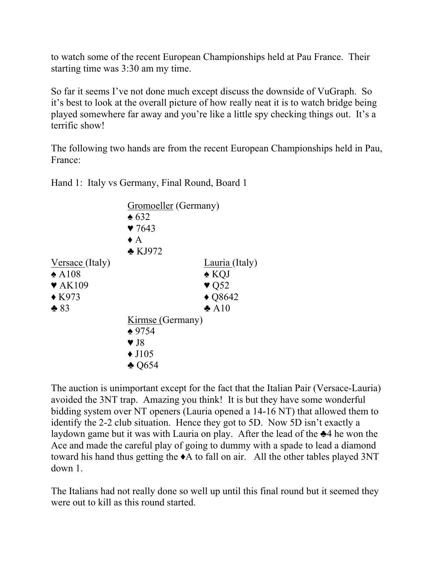to watch some of the recent European Championships held at Pau France. Their starting time was 3:30 am my time.

So far it seems I've not done much except discuss the downside of VuGraph. So it's best to look at the overall picture of how really neat it is to watch bridge being played somewhere far away and you're like a little spy checking things out. It's a terrific show!

The following two hands are from the recent European Championships held in Pau, France:

Hand 1: Italy vs Germany, Final Round, Board 1

|                            | Gromoeller (Germany)    |                          |  |
|----------------------------|-------------------------|--------------------------|--|
|                            | $\triangle 632$         |                          |  |
|                            | 97643                   |                          |  |
|                            | $\bullet$ A             |                          |  |
|                            | $\triangle$ KJ972       |                          |  |
| Versace (Italy)            |                         | Lauria (Italy)           |  |
| $\triangle$ A108           |                         | $\triangle$ KQJ          |  |
| $\blacktriangledown$ AK109 |                         | $\blacktriangledown$ Q52 |  |
| $\triangle$ K973           |                         | $\triangle$ Q8642        |  |
| $*83$                      |                         | $\clubsuit$ A10          |  |
|                            | Kirmse (Germany)        |                          |  |
|                            | $*9754$                 |                          |  |
|                            | $\blacktriangledown$ J8 |                          |  |
|                            | $\triangle$ J105        |                          |  |
|                            | $\triangle$ Q654        |                          |  |
|                            |                         |                          |  |

The auction is unimportant except for the fact that the Italian Pair (Versace-Lauria) avoided the 3NT trap. Amazing you think! It is but they have some wonderful bidding system over NT openers (Lauria opened a 14-16 NT) that allowed them to identify the 2-2 club situation. Hence they got to 5D. Now 5D isn't exactly a laydown game but it was with Lauria on play. After the lead of the ♣4 he won the Ace and made the careful play of going to dummy with a spade to lead a diamond toward his hand thus getting the ♦A to fall on air. All the other tables played 3NT down 1.

The Italians had not really done so well up until this final round but it seemed they were out to kill as this round started.